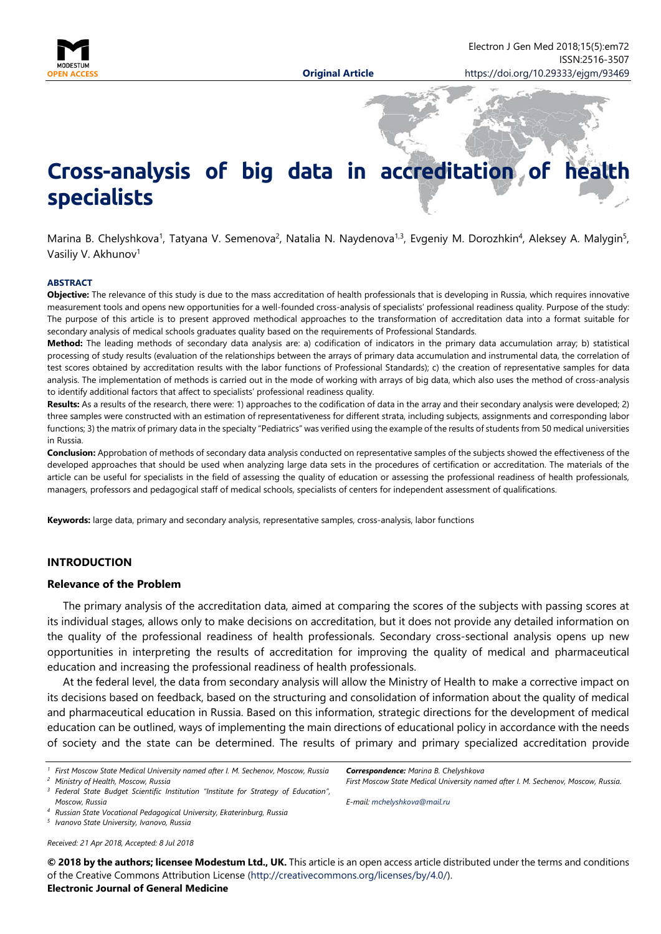

# **Сross-analysis of big data in accreditation of health specialists**

Marina B. Chelyshkova<sup>1</sup>, Tatyana V. Semenova<sup>2</sup>, Natalia N. Naydenova<sup>1,3</sup>, Evgeniy M. Dorozhkin<sup>4</sup>, Aleksey A. Malygin<sup>5</sup>, Vasiliy V. Akhunov<sup>1</sup>

#### **ABSTRACT**

**Objective:** The relevance of this study is due to the mass accreditation of health professionals that is developing in Russia, which requires innovative measurement tools and opens new opportunities for a well-founded cross-analysis of specialists' professional readiness quality. Purpose of the study: The purpose of this article is to present approved methodical approaches to the transformation of accreditation data into a format suitable for secondary analysis of medical schools graduates quality based on the requirements of Professional Standards.

**Method:** The leading methods of secondary data analysis are: a) codification of indicators in the primary data accumulation array; b) statistical processing of study results (evaluation of the relationships between the arrays of primary data accumulation and instrumental data, the correlation of test scores obtained by accreditation results with the labor functions of Professional Standards); c) the creation of representative samples for data analysis. The implementation of methods is carried out in the mode of working with arrays of big data, which also uses the method of cross-analysis to identify additional factors that affect to specialists' professional readiness quality.

**Results:** As a results of the research, there were: 1) approaches to the codification of data in the array and their secondary analysis were developed; 2) three samples were constructed with an estimation of representativeness for different strata, including subjects, assignments and corresponding labor functions; 3) the matrix of primary data in the specialty "Pediatrics" was verified using the example of the results of students from 50 medical universities in Russia.

**Conclusion:** Approbation of methods of secondary data analysis conducted on representative samples of the subjects showed the effectiveness of the developed approaches that should be used when analyzing large data sets in the procedures of certification or accreditation. The materials of the article can be useful for specialists in the field of assessing the quality of education or assessing the professional readiness of health professionals, managers, professors and pedagogical staff of medical schools, specialists of centers for independent assessment of qualifications.

**Keywords:** large data, primary and secondary analysis, representative samples, cross-analysis, labor functions

## **INTRODUCTION**

## **Relevance of the Problem**

The primary analysis of the accreditation data, aimed at comparing the scores of the subjects with passing scores at its individual stages, allows only to make decisions on accreditation, but it does not provide any detailed information on the quality of the professional readiness of health professionals. Secondary cross-sectional analysis opens up new opportunities in interpreting the results of accreditation for improving the quality of medical and pharmaceutical education and increasing the professional readiness of health professionals.

At the federal level, the data from secondary analysis will allow the Ministry of Health to make a corrective impact on its decisions based on feedback, based on the structuring and consolidation of information about the quality of medical and pharmaceutical education in Russia. Based on this information, strategic directions for the development of medical education can be outlined, ways of implementing the main directions of educational policy in accordance with the needs of society and the state can be determined. The results of primary and primary specialized accreditation provide

*<sup>4</sup> Russian State Vocational Pedagogical University, Ekaterinburg, Russia*

*<sup>5</sup> Ivanovo State University, Ivanovo, Russia Received: 21 Apr 2018, Accepted: 8 Jul 2018* *Correspondence: Marina B. Chelyshkova*

*E-mail: [mchelyshkova@mail.ru](mailto:mchelyshkova@mail.ru)*

**© 2018 by the authors; licensee Modestum Ltd., UK.** This article is an open access article distributed under the terms and conditions of the Creative Commons Attribution License [\(http://creativecommons.org/licenses/by/4.0/\)](http://creativecommons.org/licenses/by/4.0/).

## **Electronic Journal of General Medicine**

*<sup>1</sup> First Moscow State Medical University named after I. M. Sechenov, Moscow, Russia*

*<sup>2</sup> Ministry of Health, Moscow, Russia*

*<sup>3</sup> Federal State Budget Scientific Institution "Institute for Strategy of Education", Moscow, Russia*

*First Moscow State Medical University named after I. M. Sechenov, Moscow, Russia.*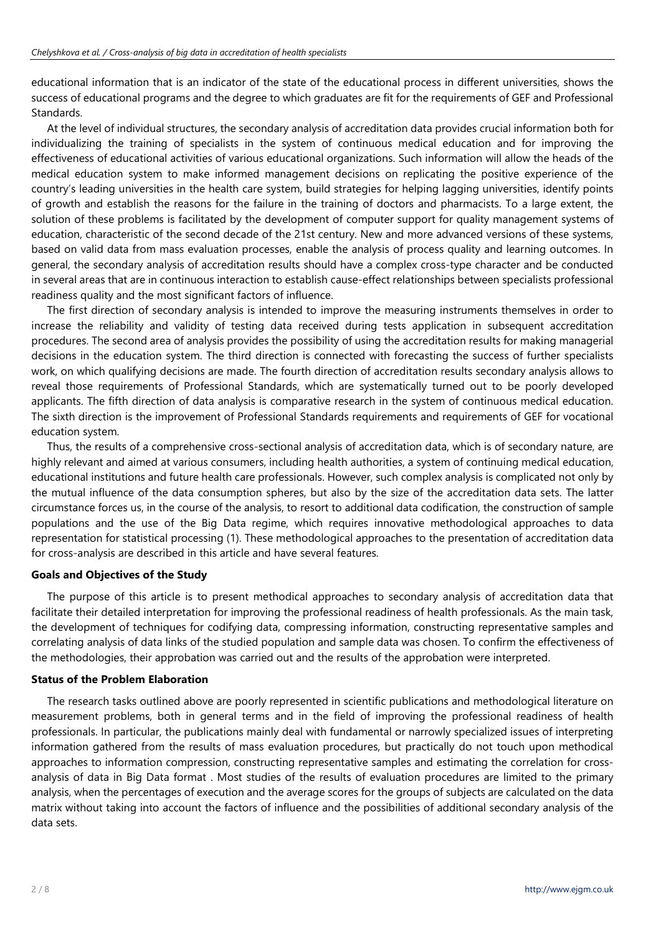educational information that is an indicator of the state of the educational process in different universities, shows the success of educational programs and the degree to which graduates are fit for the requirements of GEF and Professional Standards.

At the level of individual structures, the secondary analysis of accreditation data provides crucial information both for individualizing the training of specialists in the system of continuous medical education and for improving the effectiveness of educational activities of various educational organizations. Such information will allow the heads of the medical education system to make informed management decisions on replicating the positive experience of the country's leading universities in the health care system, build strategies for helping lagging universities, identify points of growth and establish the reasons for the failure in the training of doctors and pharmacists. To a large extent, the solution of these problems is facilitated by the development of computer support for quality management systems of education, characteristic of the second decade of the 21st century. New and more advanced versions of these systems, based on valid data from mass evaluation processes, enable the analysis of process quality and learning outcomes. In general, the secondary analysis of accreditation results should have a complex cross-type character and be conducted in several areas that are in continuous interaction to establish cause-effect relationships between specialists professional readiness quality and the most significant factors of influence.

The first direction of secondary analysis is intended to improve the measuring instruments themselves in order to increase the reliability and validity of testing data received during tests application in subsequent accreditation procedures. The second area of analysis provides the possibility of using the accreditation results for making managerial decisions in the education system. The third direction is connected with forecasting the success of further specialists work, on which qualifying decisions are made. The fourth direction of accreditation results secondary analysis allows to reveal those requirements of Professional Standards, which are systematically turned out to be poorly developed applicants. The fifth direction of data analysis is comparative research in the system of continuous medical education. The sixth direction is the improvement of Professional Standards requirements and requirements of GEF for vocational education system.

Thus, the results of a comprehensive cross-sectional analysis of accreditation data, which is of secondary nature, are highly relevant and aimed at various consumers, including health authorities, a system of continuing medical education, educational institutions and future health care professionals. However, such complex analysis is complicated not only by the mutual influence of the data consumption spheres, but also by the size of the accreditation data sets. The latter circumstance forces us, in the course of the analysis, to resort to additional data codification, the construction of sample populations and the use of the Big Data regime, which requires innovative methodological approaches to data representation for statistical processing (1). These methodological approaches to the presentation of accreditation data for cross-analysis are described in this article and have several features.

# **Goals and Objectives of the Study**

The purpose of this article is to present methodical approaches to secondary analysis of accreditation data that facilitate their detailed interpretation for improving the professional readiness of health professionals. As the main task, the development of techniques for codifying data, compressing information, constructing representative samples and correlating analysis of data links of the studied population and sample data was chosen. To confirm the effectiveness of the methodologies, their approbation was carried out and the results of the approbation were interpreted.

# **Status of the Problem Elaboration**

The research tasks outlined above are poorly represented in scientific publications and methodological literature on measurement problems, both in general terms and in the field of improving the professional readiness of health professionals. In particular, the publications mainly deal with fundamental or narrowly specialized issues of interpreting information gathered from the results of mass evaluation procedures, but practically do not touch upon methodical approaches to information compression, constructing representative samples and estimating the correlation for crossanalysis of data in Big Data format . Most studies of the results of evaluation procedures are limited to the primary analysis, when the percentages of execution and the average scores for the groups of subjects are calculated on the data matrix without taking into account the factors of influence and the possibilities of additional secondary analysis of the data sets.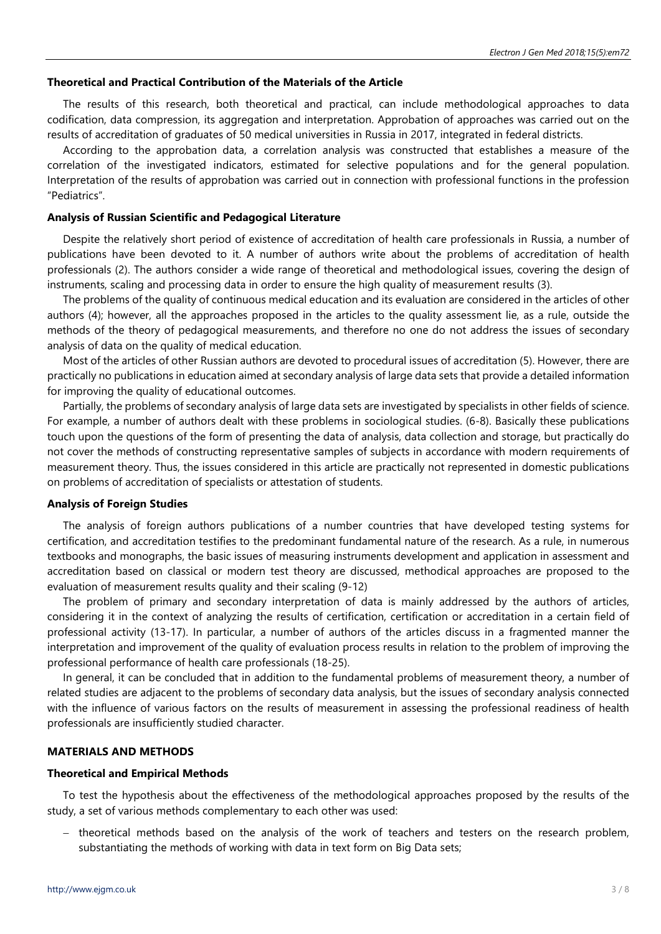## **Theoretical and Practical Contribution of the Materials of the Article**

The results of this research, both theoretical and practical, can include methodological approaches to data codification, data compression, its aggregation and interpretation. Approbation of approaches was carried out on the results of accreditation of graduates of 50 medical universities in Russia in 2017, integrated in federal districts.

According to the approbation data, a correlation analysis was constructed that establishes a measure of the correlation of the investigated indicators, estimated for selective populations and for the general population. Interpretation of the results of approbation was carried out in connection with professional functions in the profession "Pediatrics".

#### **Analysis of Russian Scientific and Pedagogical Literature**

Despite the relatively short period of existence of accreditation of health care professionals in Russia, a number of publications have been devoted to it. A number of authors write about the problems of accreditation of health professionals (2). The authors consider a wide range of theoretical and methodological issues, covering the design of instruments, scaling and processing data in order to ensure the high quality of measurement results (3).

The problems of the quality of continuous medical education and its evaluation are considered in the articles of other authors (4); however, all the approaches proposed in the articles to the quality assessment lie, as a rule, outside the methods of the theory of pedagogical measurements, and therefore no one do not address the issues of secondary analysis of data on the quality of medical education.

Most of the articles of other Russian authors are devoted to procedural issues of accreditation (5). However, there are practically no publications in education aimed at secondary analysis of large data sets that provide a detailed information for improving the quality of educational outcomes.

Partially, the problems of secondary analysis of large data sets are investigated by specialists in other fields of science. For example, a number of authors dealt with these problems in sociological studies. (6-8). Basically these publications touch upon the questions of the form of presenting the data of analysis, data collection and storage, but practically do not cover the methods of constructing representative samples of subjects in accordance with modern requirements of measurement theory. Thus, the issues considered in this article are practically not represented in domestic publications on problems of accreditation of specialists or attestation of students.

## **Analysis of Foreign Studies**

The analysis of foreign authors publications of a number countries that have developed testing systems for certification, and accreditation testifies to the predominant fundamental nature of the research. As a rule, in numerous textbooks and monographs, the basic issues of measuring instruments development and application in assessment and accreditation based on classical or modern test theory are discussed, methodical approaches are proposed to the evaluation of measurement results quality and their scaling (9-12)

The problem of primary and secondary interpretation of data is mainly addressed by the authors of articles, considering it in the context of analyzing the results of certification, certification or accreditation in a certain field of professional activity (13-17). In particular, a number of authors of the articles discuss in a fragmented manner the interpretation and improvement of the quality of evaluation process results in relation to the problem of improving the professional performance of health care professionals (18-25).

In general, it can be concluded that in addition to the fundamental problems of measurement theory, a number of related studies are adjacent to the problems of secondary data analysis, but the issues of secondary analysis connected with the influence of various factors on the results of measurement in assessing the professional readiness of health professionals are insufficiently studied character.

#### **MATERIALS AND METHODS**

#### **Theoretical and Empirical Methods**

To test the hypothesis about the effectiveness of the methodological approaches proposed by the results of the study, a set of various methods complementary to each other was used:

− theoretical methods based on the analysis of the work of teachers and testers on the research problem, substantiating the methods of working with data in text form on Big Data sets;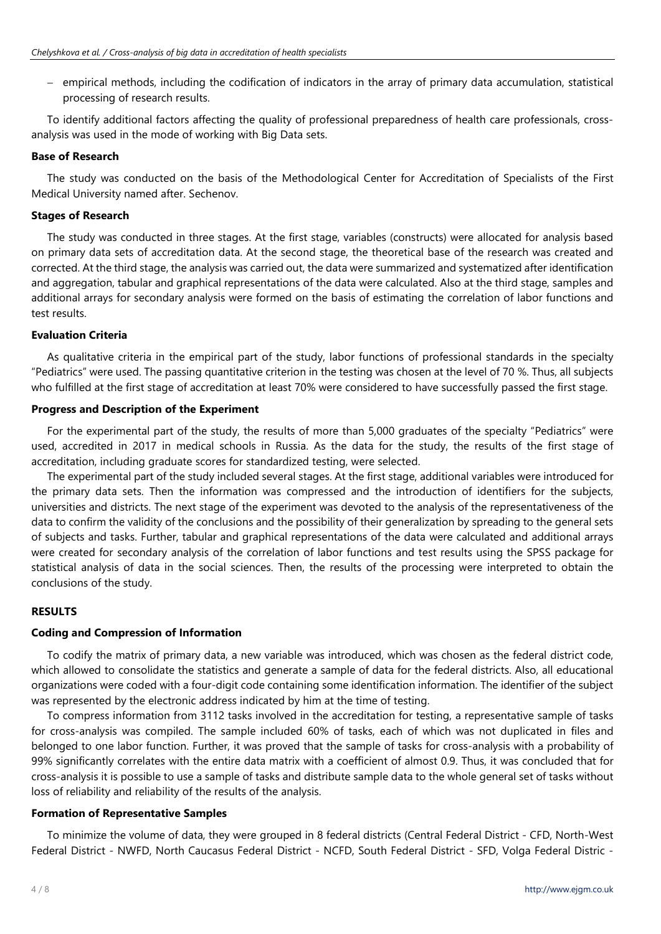− empirical methods, including the codification of indicators in the array of primary data accumulation, statistical processing of research results.

To identify additional factors affecting the quality of professional preparedness of health care professionals, crossanalysis was used in the mode of working with Big Data sets.

# **Base of Research**

The study was conducted on the basis of the Methodological Center for Accreditation of Specialists of the First Medical University named after. Sechenov.

## **Stages of Research**

The study was conducted in three stages. At the first stage, variables (constructs) were allocated for analysis based on primary data sets of accreditation data. At the second stage, the theoretical base of the research was created and corrected. At the third stage, the analysis was carried out, the data were summarized and systematized after identification and aggregation, tabular and graphical representations of the data were calculated. Also at the third stage, samples and additional arrays for secondary analysis were formed on the basis of estimating the correlation of labor functions and test results.

# **Evaluation Criteria**

As qualitative criteria in the empirical part of the study, labor functions of professional standards in the specialty "Pediatrics" were used. The passing quantitative criterion in the testing was chosen at the level of 70 %. Thus, all subjects who fulfilled at the first stage of accreditation at least 70% were considered to have successfully passed the first stage.

# **Progress and Description of the Experiment**

For the experimental part of the study, the results of more than 5,000 graduates of the specialty "Pediatrics" were used, accredited in 2017 in medical schools in Russia. As the data for the study, the results of the first stage of accreditation, including graduate scores for standardized testing, were selected.

The experimental part of the study included several stages. At the first stage, additional variables were introduced for the primary data sets. Then the information was compressed and the introduction of identifiers for the subjects, universities and districts. The next stage of the experiment was devoted to the analysis of the representativeness of the data to confirm the validity of the conclusions and the possibility of their generalization by spreading to the general sets of subjects and tasks. Further, tabular and graphical representations of the data were calculated and additional arrays were created for secondary analysis of the correlation of labor functions and test results using the SPSS package for statistical analysis of data in the social sciences. Then, the results of the processing were interpreted to obtain the conclusions of the study.

# **RESULTS**

# **Coding and Compression of Information**

To codify the matrix of primary data, a new variable was introduced, which was chosen as the federal district code, which allowed to consolidate the statistics and generate a sample of data for the federal districts. Also, all educational organizations were coded with a four-digit code containing some identification information. The identifier of the subject was represented by the electronic address indicated by him at the time of testing.

To compress information from 3112 tasks involved in the accreditation for testing, a representative sample of tasks for cross-analysis was compiled. The sample included 60% of tasks, each of which was not duplicated in files and belonged to one labor function. Further, it was proved that the sample of tasks for cross-analysis with a probability of 99% significantly correlates with the entire data matrix with a coefficient of almost 0.9. Thus, it was concluded that for cross-analysis it is possible to use a sample of tasks and distribute sample data to the whole general set of tasks without loss of reliability and reliability of the results of the analysis.

# **Formation of Representative Samples**

To minimize the volume of data, they were grouped in 8 federal districts (Central Federal District - CFD, North-West Federal District - NWFD, North Caucasus Federal District - NCFD, South Federal District - SFD, Volga Federal Distric -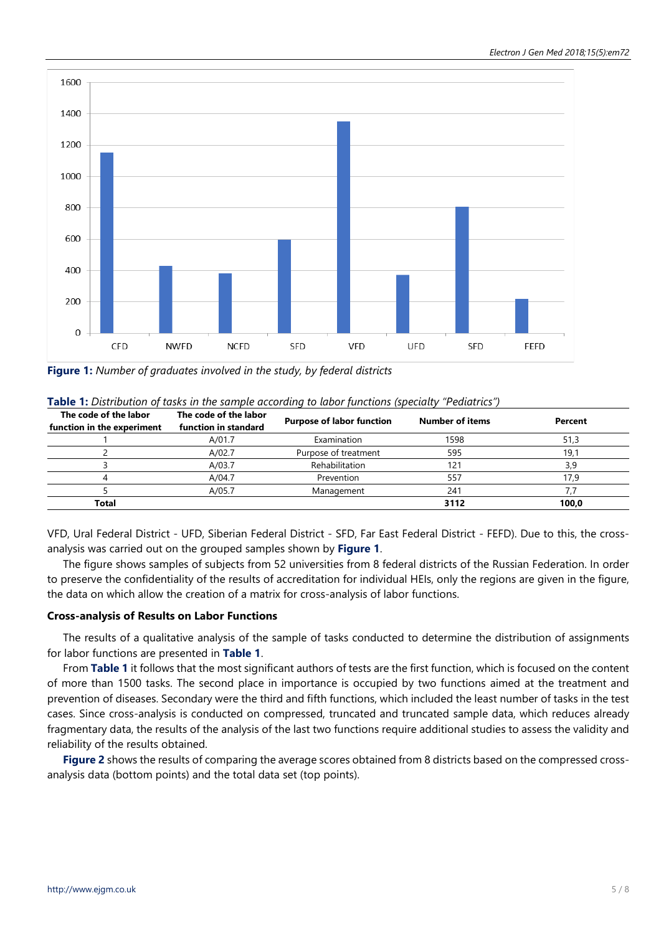

**Figure 1:** *Number of graduates involved in the study, by federal districts*

| The code of the labor<br>function in the experiment | The code of the labor<br>function in standard | <b>Purpose of labor function</b> | <b>Number of items</b> | Percent |
|-----------------------------------------------------|-----------------------------------------------|----------------------------------|------------------------|---------|
|                                                     | A/01.7                                        | Examination                      | 1598                   | 51,3    |
|                                                     | A/02.7                                        | Purpose of treatment             | 595                    | 19,1    |
|                                                     | A/03.7                                        | Rehabilitation                   | 121                    | 3.9     |
|                                                     | A/04.7                                        | Prevention                       | 557                    | 17.9    |
|                                                     | A/05.7                                        | Management                       | 241                    |         |
| Total                                               |                                               |                                  | 3112                   | 100,0   |

**Table 1:** *Distribution of tasks in the sample according to labor functions (specialty "Pediatrics")*

VFD, Ural Federal District - UFD, Siberian Federal District - SFD, Far East Federal District - FEFD). Due to this, the crossanalysis was carried out on the grouped samples shown by **Figure 1**.

The figure shows samples of subjects from 52 universities from 8 federal districts of the Russian Federation. In order to preserve the confidentiality of the results of accreditation for individual HEIs, only the regions are given in the figure, the data on which allow the creation of a matrix for cross-analysis of labor functions.

# **Cross-analysis of Results on Labor Functions**

The results of a qualitative analysis of the sample of tasks conducted to determine the distribution of assignments for labor functions are presented in **Table 1**.

From **Table 1** it follows that the most significant authors of tests are the first function, which is focused on the content of more than 1500 tasks. The second place in importance is occupied by two functions aimed at the treatment and prevention of diseases. Secondary were the third and fifth functions, which included the least number of tasks in the test cases. Since cross-analysis is conducted on compressed, truncated and truncated sample data, which reduces already fragmentary data, the results of the analysis of the last two functions require additional studies to assess the validity and reliability of the results obtained.

**Figure 2** shows the results of comparing the average scores obtained from 8 districts based on the compressed crossanalysis data (bottom points) and the total data set (top points).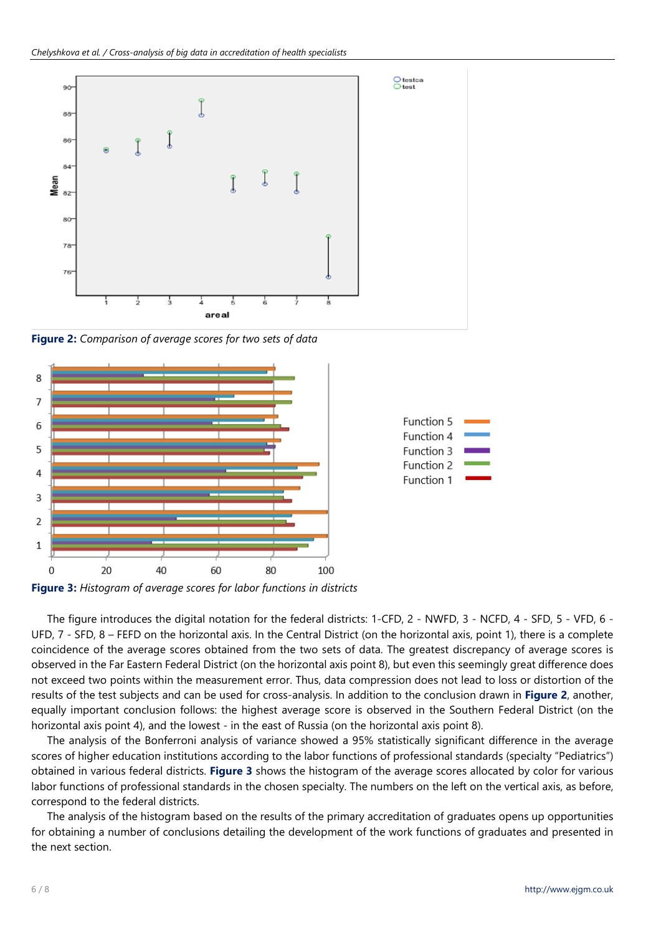

**Figure 2:** *Comparison of average scores for two sets of data*



**Figure 3:** *Histogram of average scores for labor functions in districts*

The figure introduces the digital notation for the federal districts: 1-CFD, 2 - NWFD, 3 - NCFD, 4 - SFD, 5 - VFD, 6 - UFD, 7 - SFD, 8 – FEFD on the horizontal axis. In the Central District (on the horizontal axis, point 1), there is a complete coincidence of the average scores obtained from the two sets of data. The greatest discrepancy of average scores is observed in the Far Eastern Federal District (on the horizontal axis point 8), but even this seemingly great difference does not exceed two points within the measurement error. Thus, data compression does not lead to loss or distortion of the results of the test subjects and can be used for cross-analysis. In addition to the conclusion drawn in **Figure 2**, another, equally important conclusion follows: the highest average score is observed in the Southern Federal District (on the horizontal axis point 4), and the lowest - in the east of Russia (on the horizontal axis point 8).

The analysis of the Bonferroni analysis of variance showed a 95% statistically significant difference in the average scores of higher education institutions according to the labor functions of professional standards (specialty "Pediatrics") obtained in various federal districts. **Figure 3** shows the histogram of the average scores allocated by color for various labor functions of professional standards in the chosen specialty. The numbers on the left on the vertical axis, as before, correspond to the federal districts.

The analysis of the histogram based on the results of the primary accreditation of graduates opens up opportunities for obtaining a number of conclusions detailing the development of the work functions of graduates and presented in the next section.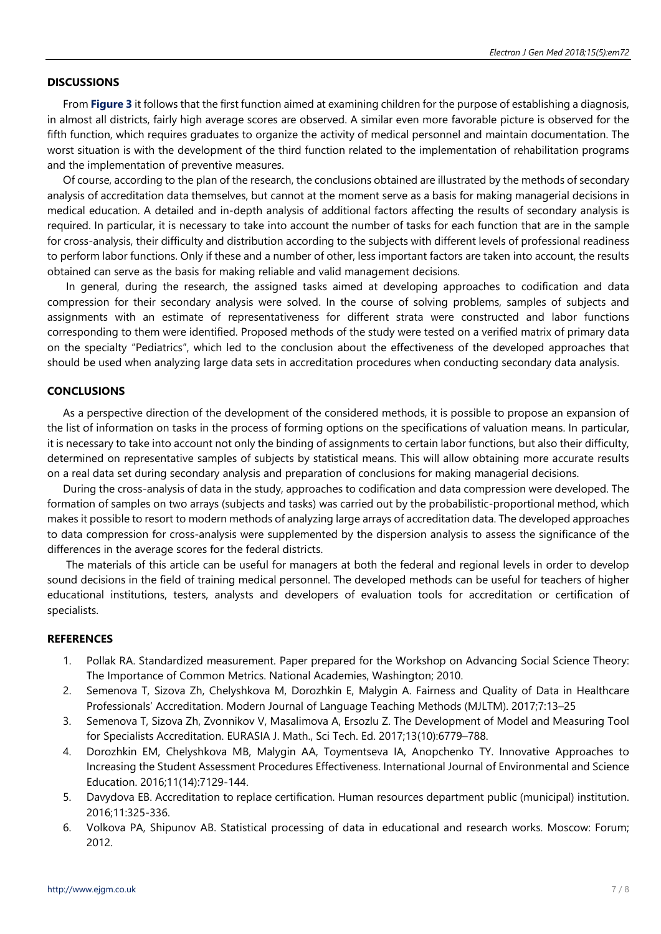## **DISCUSSIONS**

From **Figure 3** it follows that the first function aimed at examining children for the purpose of establishing a diagnosis, in almost all districts, fairly high average scores are observed. A similar even more favorable picture is observed for the fifth function, which requires graduates to organize the activity of medical personnel and maintain documentation. The worst situation is with the development of the third function related to the implementation of rehabilitation programs and the implementation of preventive measures.

Of course, according to the plan of the research, the conclusions obtained are illustrated by the methods of secondary analysis of accreditation data themselves, but cannot at the moment serve as a basis for making managerial decisions in medical education. A detailed and in-depth analysis of additional factors affecting the results of secondary analysis is required. In particular, it is necessary to take into account the number of tasks for each function that are in the sample for cross-analysis, their difficulty and distribution according to the subjects with different levels of professional readiness to perform labor functions. Only if these and a number of other, less important factors are taken into account, the results obtained can serve as the basis for making reliable and valid management decisions.

In general, during the research, the assigned tasks aimed at developing approaches to codification and data compression for their secondary analysis were solved. In the course of solving problems, samples of subjects and assignments with an estimate of representativeness for different strata were constructed and labor functions corresponding to them were identified. Proposed methods of the study were tested on a verified matrix of primary data on the specialty "Pediatrics", which led to the conclusion about the effectiveness of the developed approaches that should be used when analyzing large data sets in accreditation procedures when conducting secondary data analysis.

## **CONCLUSIONS**

As a perspective direction of the development of the considered methods, it is possible to propose an expansion of the list of information on tasks in the process of forming options on the specifications of valuation means. In particular, it is necessary to take into account not only the binding of assignments to certain labor functions, but also their difficulty, determined on representative samples of subjects by statistical means. This will allow obtaining more accurate results on a real data set during secondary analysis and preparation of conclusions for making managerial decisions.

During the cross-analysis of data in the study, approaches to codification and data compression were developed. The formation of samples on two arrays (subjects and tasks) was carried out by the probabilistic-proportional method, which makes it possible to resort to modern methods of analyzing large arrays of accreditation data. The developed approaches to data compression for cross-analysis were supplemented by the dispersion analysis to assess the significance of the differences in the average scores for the federal districts.

The materials of this article can be useful for managers at both the federal and regional levels in order to develop sound decisions in the field of training medical personnel. The developed methods can be useful for teachers of higher educational institutions, testers, analysts and developers of evaluation tools for accreditation or certification of specialists.

# **REFERENCES**

- 1. Pollak RA. Standardized measurement. Paper prepared for the Workshop on Advancing Social Science Theory: The Importance of Common Metrics. National Academies, Washington; 2010.
- 2. Semenova T, Sizova Zh, Chelyshkova M, Dorozhkin Е, Malygin A. Fairness and Quality of Data in Healthcare Professionals' Accreditation. Modern Journal of Language Teaching Methods (MJLTM). 2017;7:13–25
- 3. Semenova T, Sizova Zh, Zvonnikov V, Masalimova A, Ersozlu Z. The Development of Model and Measuring Tool for Specialists Accreditation. EURASIA J. Math., Sci Tech. Ed. 2017;13(10):6779–788.
- 4. Dorozhkin EM, Chelyshkova MB, Malygin AA, Toymentseva IA, Anopchenko TY. Innovative Approaches to Increasing the Student Assessment Procedures Effectiveness. International Journal of Environmental and Science Education. 2016;11(14):7129-144.
- 5. Davydova ЕВ. Accreditation to replace certification. Human resources department public (municipal) institution. 2016;11:325-336.
- 6. Volkova PA, Shipunov AB. Statistical processing of data in educational and research works. Мoscow: Forum; 2012.